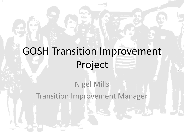# GOSH Transition Improvement Project

### Nigel Mills Transition Improvement Manager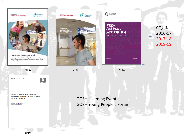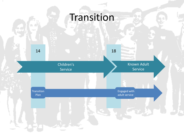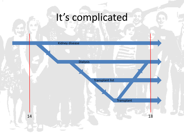# It's complicated

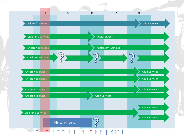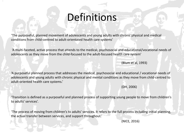# Definitions

'The purposeful, planned movement of adolescents and young adults with chronic physical and medical conditions from child-centred to adult-orientated health care systems'

'A multi-faceted, active process that attends to the medical, psychosocial and educational/vocational needs of adolescents as they move from the child-focused to the adult-focused health care system'

(Blum et al, 1993)

'A purposeful planned process that addresses the medical, psychosocial and educational / vocational needs of adolescents and young adults with chronic physical and mental conditions as they move from child-centred to adult-oriented health care systems.'

(DH, 2006)

'Transition is defined as a purposeful and planned process of supporting young people to move from children's to adults' services'.

'The process of moving from children's to adults' services. It refers to the full process including initial planning, the actual transfer between services, and support throughout.'

(NICE, 2016)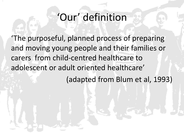# 'Our' definition

'The purposeful, planned process of preparing and moving young people and their families or carers from child-centred healthcare to adolescent or adult oriented healthcare' (adapted from Blum et al, 1993)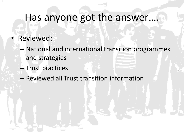## Has anyone got the answer....

- Reviewed:
	- National and international transition programmes and strategies
	- Trust practices
	- Reviewed all Trust transition information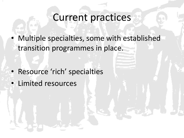### Current practices

• Multiple specialties, some with established transition programmes in place.

- Resource 'rich' specialties
- Limited resources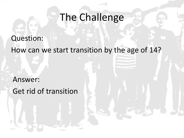## The Challenge

### Question:

How can we start transition by the age of 14?

Answer: Get rid of transition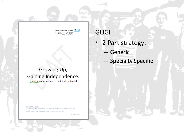Great Ormond Street NHS Hospital for Children **NHS Foundation Trust** 

#### Growing Up, Gaining Independence:

enabling young people to fulfil their potential

### GUGI

- 2 Part strategy:
	- Generic
	- Specialty Specific

FOR INTERNAL USE ONLY Permission for sharing this document must be sought from Nigel Mills, Transition Improvement Manager @ Great Ormond Street Hospital for Children NHS Foundation Trust, 2017

V4 NM 18.10.17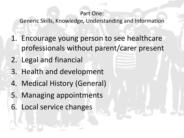#### Part One:

Generic Skills, Knowledge, Understanding and Information

- 1. Encourage young person to see healthcare professionals without parent/carer present
- 2. Legal and financial
- 3. Health and development
- 4. Medical History (General)
- 5. Managing appointments
- 6. Local service changes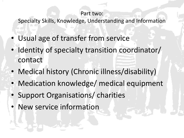#### Part two:

Specialty Skills, Knowledge, Understanding and Information

- Usual age of transfer from service
- Identity of specialty transition coordinator/ contact
- Medical history (Chronic illness/disability)
- Medication knowledge/ medical equipment
- Support Organisations/ charities
- New service information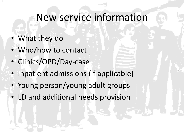### New service information

- What they do
- Who/how to contact
- Clinics/OPD/Day-case
- Inpatient admissions (if applicable)
- Young person/young adult groups
- LD and additional needs provision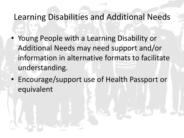### Learning Disabilities and Additional Needs

- Young People with a Learning Disability or Additional Needs may need support and/or information in alternative formats to facilitate understanding.
- Encourage/support use of Health Passport or equivalent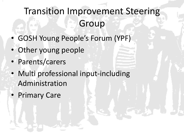## Transition Improvement Steering Group

- GOSH Young People's Forum (YPF)
- Other young people
- Parents/carers
- Multi professional input-including Administration
- Primary Care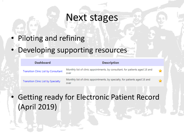### Next stages

- Piloting and refining
- Developing supporting resources

| <b>Dashboard</b>                            | <b>Description</b>                                                                   |               |
|---------------------------------------------|--------------------------------------------------------------------------------------|---------------|
| <b>Transition Clinic List by Consultant</b> | Monthly list of clinic appointments, by consultant, for patients aged 16 and<br>over | չ             |
| <b>Transition Clinic List by Specialty</b>  | Monthly list of clinic appointments, by specialty, for patients aged 16 and<br>over  | $\rightarrow$ |

• Getting ready for Electronic Patient Record (April 2019)